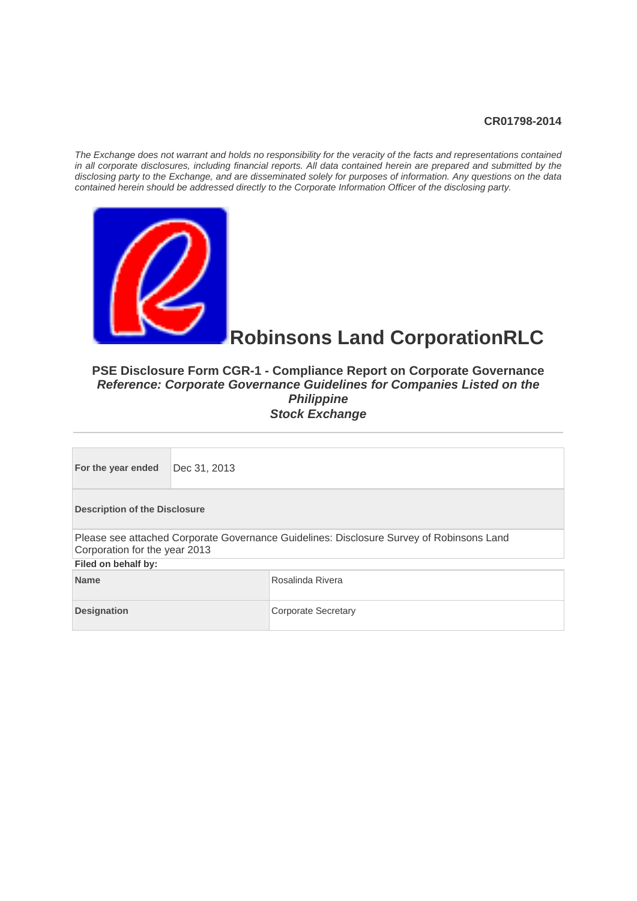#### **CR01798-2014**

*The Exchange does not warrant and holds no responsibility for the veracity of the facts and representations contained in all corporate disclosures, including financial reports. All data contained herein are prepared and submitted by the disclosing party to the Exchange, and are disseminated solely for purposes of information. Any questions on the data contained herein should be addressed directly to the Corporate Information Officer of the disclosing party.* 



# **Robinsons Land CorporationRLC**

#### **PSE Disclosure Form CGR-1 - Compliance Report on Corporate Governance**  *Reference: Corporate Governance Guidelines for Companies Listed on the Philippine*  **Stock Exchange**

| For the year ended                                                                                                        | Dec 31, 2013 |  |  |  |  |
|---------------------------------------------------------------------------------------------------------------------------|--------------|--|--|--|--|
| <b>Description of the Disclosure</b>                                                                                      |              |  |  |  |  |
| Please see attached Corporate Governance Guidelines: Disclosure Survey of Robinsons Land<br>Corporation for the year 2013 |              |  |  |  |  |
| Filed on behalf by:                                                                                                       |              |  |  |  |  |
| <b>Name</b><br>Rosalinda Rivera                                                                                           |              |  |  |  |  |
| <b>Designation</b><br>Corporate Secretary                                                                                 |              |  |  |  |  |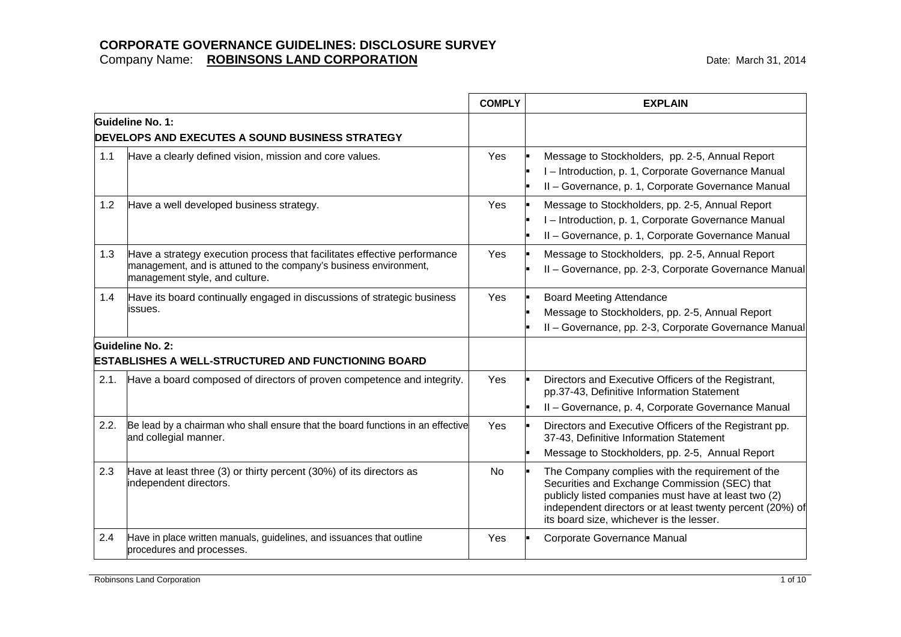|      |                                                                                                                                                                                 | <b>COMPLY</b> | <b>EXPLAIN</b>                                                                                                                                                                                                                                                     |
|------|---------------------------------------------------------------------------------------------------------------------------------------------------------------------------------|---------------|--------------------------------------------------------------------------------------------------------------------------------------------------------------------------------------------------------------------------------------------------------------------|
|      | Guideline No. 1:<br><b>DEVELOPS AND EXECUTES A SOUND BUSINESS STRATEGY</b>                                                                                                      |               |                                                                                                                                                                                                                                                                    |
| 1.1  | Have a clearly defined vision, mission and core values.                                                                                                                         | <b>Yes</b>    | Message to Stockholders, pp. 2-5, Annual Report<br>I-Introduction, p. 1, Corporate Governance Manual<br>II - Governance, p. 1, Corporate Governance Manual                                                                                                         |
| 1.2  | Have a well developed business strategy.                                                                                                                                        | Yes           | Message to Stockholders, pp. 2-5, Annual Report<br>I-Introduction, p. 1, Corporate Governance Manual<br>II - Governance, p. 1, Corporate Governance Manual                                                                                                         |
| 1.3  | Have a strategy execution process that facilitates effective performance<br>management, and is attuned to the company's business environment,<br>management style, and culture. | Yes           | Message to Stockholders, pp. 2-5, Annual Report<br>II - Governance, pp. 2-3, Corporate Governance Manual                                                                                                                                                           |
| 1.4  | Have its board continually engaged in discussions of strategic business<br>issues.                                                                                              | Yes           | <b>Board Meeting Attendance</b><br>Message to Stockholders, pp. 2-5, Annual Report<br>II - Governance, pp. 2-3, Corporate Governance Manual                                                                                                                        |
|      | Guideline No. 2:<br><b>ESTABLISHES A WELL-STRUCTURED AND FUNCTIONING BOARD</b>                                                                                                  |               |                                                                                                                                                                                                                                                                    |
| 2.1. | Have a board composed of directors of proven competence and integrity.                                                                                                          | Yes           | Directors and Executive Officers of the Registrant,<br>pp.37-43, Definitive Information Statement<br>II - Governance, p. 4, Corporate Governance Manual                                                                                                            |
| 2.2. | Be lead by a chairman who shall ensure that the board functions in an effective<br>and collegial manner.                                                                        | Yes           | Directors and Executive Officers of the Registrant pp.<br>37-43, Definitive Information Statement<br>Message to Stockholders, pp. 2-5, Annual Report                                                                                                               |
| 2.3  | Have at least three (3) or thirty percent (30%) of its directors as<br>independent directors.                                                                                   | No            | The Company complies with the requirement of the<br>Securities and Exchange Commission (SEC) that<br>publicly listed companies must have at least two (2)<br>independent directors or at least twenty percent (20%) of<br>its board size, whichever is the lesser. |
| 2.4  | Have in place written manuals, guidelines, and issuances that outline<br>procedures and processes.                                                                              | Yes           | Corporate Governance Manual                                                                                                                                                                                                                                        |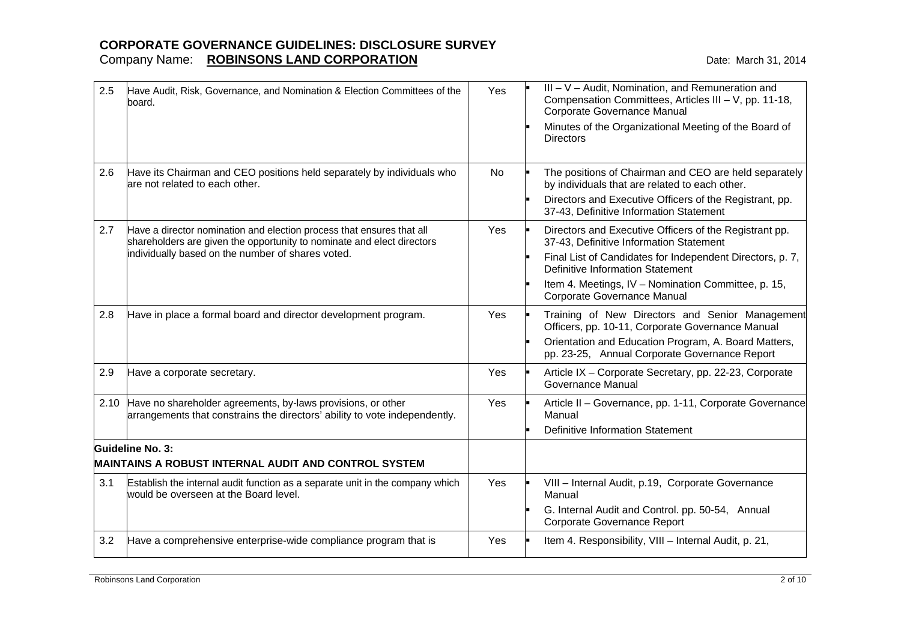| 2.5  | Have Audit, Risk, Governance, and Nomination & Election Committees of the<br>board.                                                                                                                  | Yes | III - V - Audit, Nomination, and Remuneration and<br>Compensation Committees, Articles III - V, pp. 11-18,<br>Corporate Governance Manual<br>Minutes of the Organizational Meeting of the Board of<br><b>Directors</b>                                                                   |
|------|------------------------------------------------------------------------------------------------------------------------------------------------------------------------------------------------------|-----|------------------------------------------------------------------------------------------------------------------------------------------------------------------------------------------------------------------------------------------------------------------------------------------|
| 2.6  | Have its Chairman and CEO positions held separately by individuals who<br>are not related to each other.                                                                                             | No  | The positions of Chairman and CEO are held separately<br>by individuals that are related to each other.<br>Directors and Executive Officers of the Registrant, pp.<br>37-43, Definitive Information Statement                                                                            |
| 2.7  | Have a director nomination and election process that ensures that all<br>shareholders are given the opportunity to nominate and elect directors<br>individually based on the number of shares voted. | Yes | Directors and Executive Officers of the Registrant pp.<br>37-43, Definitive Information Statement<br>Final List of Candidates for Independent Directors, p. 7,<br>Definitive Information Statement<br>Item 4. Meetings, IV - Nomination Committee, p. 15,<br>Corporate Governance Manual |
| 2.8  | Have in place a formal board and director development program.                                                                                                                                       | Yes | Training of New Directors and Senior Management<br>Officers, pp. 10-11, Corporate Governance Manual<br>Orientation and Education Program, A. Board Matters,<br>pp. 23-25, Annual Corporate Governance Report                                                                             |
| 2.9  | Have a corporate secretary.                                                                                                                                                                          | Yes | Article IX - Corporate Secretary, pp. 22-23, Corporate<br>Governance Manual                                                                                                                                                                                                              |
| 2.10 | Have no shareholder agreements, by-laws provisions, or other<br>arrangements that constrains the directors' ability to vote independently.                                                           | Yes | Article II - Governance, pp. 1-11, Corporate Governance<br>Manual<br><b>Definitive Information Statement</b>                                                                                                                                                                             |
|      | <b>Guideline No. 3:</b><br><b>MAINTAINS A ROBUST INTERNAL AUDIT AND CONTROL SYSTEM</b>                                                                                                               |     |                                                                                                                                                                                                                                                                                          |
| 3.1  | Establish the internal audit function as a separate unit in the company which<br>would be overseen at the Board level.                                                                               | Yes | VIII - Internal Audit, p.19, Corporate Governance<br>Manual<br>G. Internal Audit and Control. pp. 50-54, Annual<br>Corporate Governance Report                                                                                                                                           |
| 3.2  | Have a comprehensive enterprise-wide compliance program that is                                                                                                                                      | Yes | Item 4. Responsibility, VIII - Internal Audit, p. 21,                                                                                                                                                                                                                                    |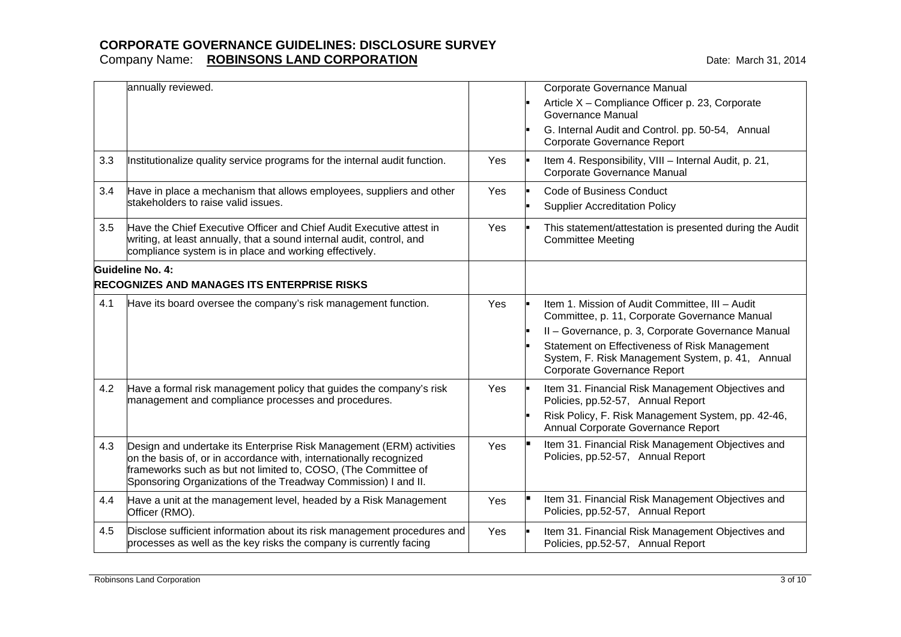|     | annually reviewed.                                                                                                                                                                                                                                                             |     | Corporate Governance Manual<br>Article X - Compliance Officer p. 23, Corporate<br>Governance Manual<br>G. Internal Audit and Control. pp. 50-54, Annual                                                                                                                                           |
|-----|--------------------------------------------------------------------------------------------------------------------------------------------------------------------------------------------------------------------------------------------------------------------------------|-----|---------------------------------------------------------------------------------------------------------------------------------------------------------------------------------------------------------------------------------------------------------------------------------------------------|
| 3.3 | Institutionalize quality service programs for the internal audit function.                                                                                                                                                                                                     | Yes | Corporate Governance Report<br>Item 4. Responsibility, VIII - Internal Audit, p. 21,<br>Corporate Governance Manual                                                                                                                                                                               |
| 3.4 | Have in place a mechanism that allows employees, suppliers and other<br>stakeholders to raise valid issues.                                                                                                                                                                    | Yes | <b>Code of Business Conduct</b><br><b>Supplier Accreditation Policy</b>                                                                                                                                                                                                                           |
| 3.5 | Have the Chief Executive Officer and Chief Audit Executive attest in<br>writing, at least annually, that a sound internal audit, control, and<br>compliance system is in place and working effectively.                                                                        | Yes | This statement/attestation is presented during the Audit<br><b>Committee Meeting</b>                                                                                                                                                                                                              |
|     | Guideline No. 4:<br><b>RECOGNIZES AND MANAGES ITS ENTERPRISE RISKS</b>                                                                                                                                                                                                         |     |                                                                                                                                                                                                                                                                                                   |
| 4.1 | Have its board oversee the company's risk management function.                                                                                                                                                                                                                 | Yes | Item 1. Mission of Audit Committee, III - Audit<br>Committee, p. 11, Corporate Governance Manual<br>II - Governance, p. 3, Corporate Governance Manual<br>Statement on Effectiveness of Risk Management<br>System, F. Risk Management System, p. 41, Annual<br><b>Corporate Governance Report</b> |
| 4.2 | Have a formal risk management policy that guides the company's risk<br>management and compliance processes and procedures.                                                                                                                                                     | Yes | Item 31. Financial Risk Management Objectives and<br>Policies, pp.52-57, Annual Report<br>Risk Policy, F. Risk Management System, pp. 42-46,<br>Annual Corporate Governance Report                                                                                                                |
| 4.3 | Design and undertake its Enterprise Risk Management (ERM) activities<br>on the basis of, or in accordance with, internationally recognized<br>frameworks such as but not limited to, COSO, (The Committee of<br>Sponsoring Organizations of the Treadway Commission) I and II. | Yes | Item 31. Financial Risk Management Objectives and<br>Policies, pp.52-57, Annual Report                                                                                                                                                                                                            |
| 4.4 | Have a unit at the management level, headed by a Risk Management<br>Officer (RMO).                                                                                                                                                                                             | Yes | Item 31. Financial Risk Management Objectives and<br>Policies, pp.52-57, Annual Report                                                                                                                                                                                                            |
| 4.5 | Disclose sufficient information about its risk management procedures and<br>processes as well as the key risks the company is currently facing                                                                                                                                 | Yes | Item 31. Financial Risk Management Objectives and<br>Policies, pp.52-57, Annual Report                                                                                                                                                                                                            |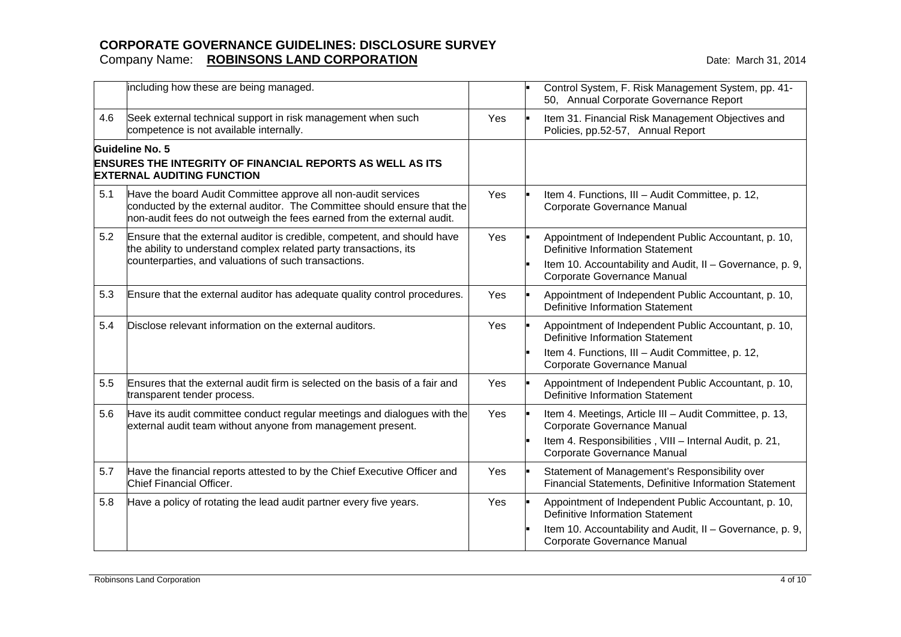|     | including how these are being managed.                                                                                                                                                                              |     | Control System, F. Risk Management System, pp. 41-<br>50, Annual Corporate Governance Report                                                                                                |
|-----|---------------------------------------------------------------------------------------------------------------------------------------------------------------------------------------------------------------------|-----|---------------------------------------------------------------------------------------------------------------------------------------------------------------------------------------------|
| 4.6 | Seek external technical support in risk management when such<br>competence is not available internally.                                                                                                             | Yes | Item 31. Financial Risk Management Objectives and<br>Policies, pp.52-57, Annual Report                                                                                                      |
|     | Guideline No. 5<br><b>ENSURES THE INTEGRITY OF FINANCIAL REPORTS AS WELL AS ITS</b><br><b>EXTERNAL AUDITING FUNCTION</b>                                                                                            |     |                                                                                                                                                                                             |
| 5.1 | Have the board Audit Committee approve all non-audit services<br>conducted by the external auditor. The Committee should ensure that the<br>non-audit fees do not outweigh the fees earned from the external audit. | Yes | Item 4. Functions, III - Audit Committee, p. 12,<br>Corporate Governance Manual                                                                                                             |
| 5.2 | Ensure that the external auditor is credible, competent, and should have<br>the ability to understand complex related party transactions, its<br>counterparties, and valuations of such transactions.               | Yes | Appointment of Independent Public Accountant, p. 10,<br>Definitive Information Statement<br>Item 10. Accountability and Audit, II - Governance, p. 9,<br>Corporate Governance Manual        |
| 5.3 | Ensure that the external auditor has adequate quality control procedures.                                                                                                                                           | Yes | Appointment of Independent Public Accountant, p. 10,<br>Definitive Information Statement                                                                                                    |
| 5.4 | Disclose relevant information on the external auditors.                                                                                                                                                             | Yes | Appointment of Independent Public Accountant, p. 10,<br><b>Definitive Information Statement</b><br>Item 4. Functions, III - Audit Committee, p. 12,<br>Corporate Governance Manual          |
| 5.5 | Ensures that the external audit firm is selected on the basis of a fair and<br>transparent tender process.                                                                                                          | Yes | Appointment of Independent Public Accountant, p. 10,<br><b>Definitive Information Statement</b>                                                                                             |
| 5.6 | Have its audit committee conduct regular meetings and dialogues with the<br>external audit team without anyone from management present.                                                                             | Yes | Item 4. Meetings, Article III - Audit Committee, p. 13,<br>Corporate Governance Manual<br>Item 4. Responsibilities, VIII - Internal Audit, p. 21,<br>Corporate Governance Manual            |
| 5.7 | Have the financial reports attested to by the Chief Executive Officer and<br>Chief Financial Officer.                                                                                                               | Yes | Statement of Management's Responsibility over<br>Financial Statements, Definitive Information Statement                                                                                     |
| 5.8 | Have a policy of rotating the lead audit partner every five years.                                                                                                                                                  | Yes | Appointment of Independent Public Accountant, p. 10,<br><b>Definitive Information Statement</b><br>Item 10. Accountability and Audit, II - Governance, p. 9,<br>Corporate Governance Manual |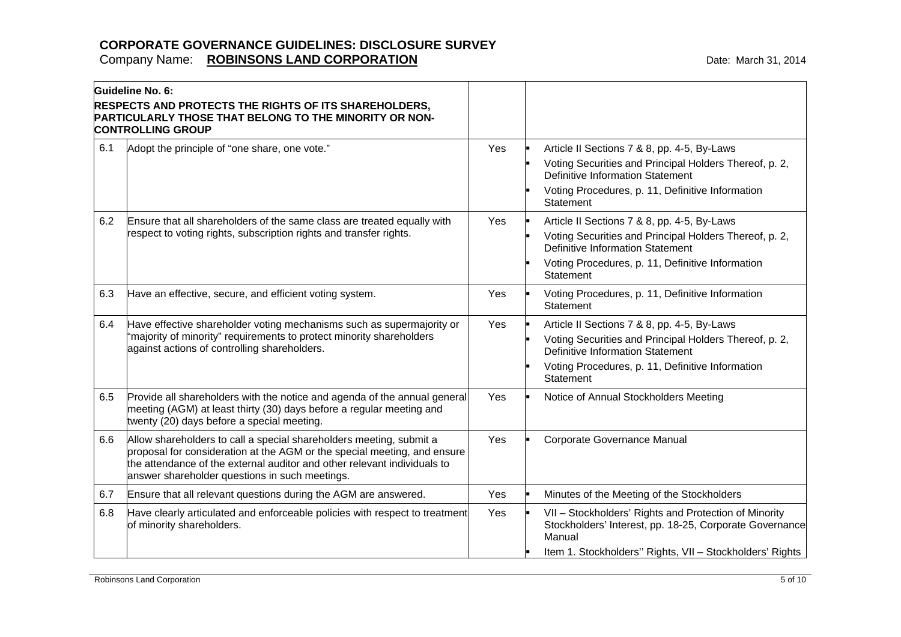|     | Guideline No. 6:                                                                                                                                                                                                                                                              |     |                                                                                                                                                                                                                   |
|-----|-------------------------------------------------------------------------------------------------------------------------------------------------------------------------------------------------------------------------------------------------------------------------------|-----|-------------------------------------------------------------------------------------------------------------------------------------------------------------------------------------------------------------------|
|     | <b>RESPECTS AND PROTECTS THE RIGHTS OF ITS SHAREHOLDERS,</b><br>PARTICULARLY THOSE THAT BELONG TO THE MINORITY OR NON-<br><b>CONTROLLING GROUP</b>                                                                                                                            |     |                                                                                                                                                                                                                   |
| 6.1 | Adopt the principle of "one share, one vote."                                                                                                                                                                                                                                 | Yes | Article II Sections 7 & 8, pp. 4-5, By-Laws<br>Voting Securities and Principal Holders Thereof, p. 2,<br>Definitive Information Statement<br>Voting Procedures, p. 11, Definitive Information<br>Statement        |
| 6.2 | Ensure that all shareholders of the same class are treated equally with<br>respect to voting rights, subscription rights and transfer rights.                                                                                                                                 | Yes | Article II Sections 7 & 8, pp. 4-5, By-Laws<br>Voting Securities and Principal Holders Thereof, p. 2,<br><b>Definitive Information Statement</b><br>Voting Procedures, p. 11, Definitive Information<br>Statement |
| 6.3 | Have an effective, secure, and efficient voting system.                                                                                                                                                                                                                       | Yes | Voting Procedures, p. 11, Definitive Information<br>Statement                                                                                                                                                     |
| 6.4 | Have effective shareholder voting mechanisms such as supermajority or<br>"majority of minority" requirements to protect minority shareholders<br>against actions of controlling shareholders.                                                                                 | Yes | Article II Sections 7 & 8, pp. 4-5, By-Laws<br>Voting Securities and Principal Holders Thereof, p. 2,<br>Definitive Information Statement<br>Voting Procedures, p. 11, Definitive Information<br>Statement        |
| 6.5 | Provide all shareholders with the notice and agenda of the annual general<br>meeting (AGM) at least thirty (30) days before a regular meeting and<br>twenty (20) days before a special meeting.                                                                               | Yes | Notice of Annual Stockholders Meeting                                                                                                                                                                             |
| 6.6 | Allow shareholders to call a special shareholders meeting, submit a<br>proposal for consideration at the AGM or the special meeting, and ensure<br>the attendance of the external auditor and other relevant individuals to<br>answer shareholder questions in such meetings. | Yes | Corporate Governance Manual                                                                                                                                                                                       |
| 6.7 | Ensure that all relevant questions during the AGM are answered.                                                                                                                                                                                                               | Yes | Minutes of the Meeting of the Stockholders                                                                                                                                                                        |
| 6.8 | Have clearly articulated and enforceable policies with respect to treatment<br>of minority shareholders.                                                                                                                                                                      | Yes | VII - Stockholders' Rights and Protection of Minority<br>Stockholders' Interest, pp. 18-25, Corporate Governance<br>Manual                                                                                        |
|     |                                                                                                                                                                                                                                                                               |     | Item 1. Stockholders" Rights, VII - Stockholders' Rights                                                                                                                                                          |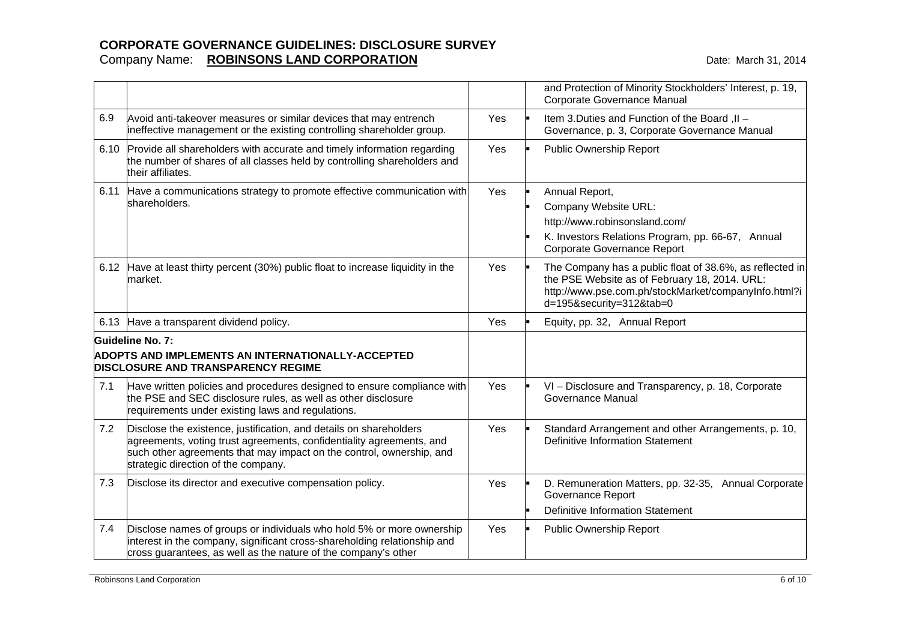|      |                                                                                                                                                                                                                                                           |     | and Protection of Minority Stockholders' Interest, p. 19,<br>Corporate Governance Manual                                                                                                      |
|------|-----------------------------------------------------------------------------------------------------------------------------------------------------------------------------------------------------------------------------------------------------------|-----|-----------------------------------------------------------------------------------------------------------------------------------------------------------------------------------------------|
| 6.9  | Avoid anti-takeover measures or similar devices that may entrench<br>ineffective management or the existing controlling shareholder group.                                                                                                                | Yes | Item 3. Duties and Function of the Board, II -<br>Governance, p. 3, Corporate Governance Manual                                                                                               |
| 6.10 | Provide all shareholders with accurate and timely information regarding<br>the number of shares of all classes held by controlling shareholders and<br>their affiliates.                                                                                  | Yes | Public Ownership Report                                                                                                                                                                       |
| 6.11 | Have a communications strategy to promote effective communication with<br>shareholders.                                                                                                                                                                   | Yes | Annual Report,<br>Company Website URL:<br>http://www.robinsonsland.com/<br>K. Investors Relations Program, pp. 66-67, Annual<br>Corporate Governance Report                                   |
|      | 6.12 Have at least thirty percent (30%) public float to increase liquidity in the<br>market.                                                                                                                                                              | Yes | The Company has a public float of 38.6%, as reflected in<br>the PSE Website as of February 18, 2014. URL:<br>http://www.pse.com.ph/stockMarket/companyInfo.html?i<br>d=195&security=312&tab=0 |
|      | 6.13 Have a transparent dividend policy.                                                                                                                                                                                                                  | Yes | Equity, pp. 32, Annual Report                                                                                                                                                                 |
|      | Guideline No. 7:<br><b>ADOPTS AND IMPLEMENTS AN INTERNATIONALLY-ACCEPTED</b><br><b>DISCLOSURE AND TRANSPARENCY REGIME</b>                                                                                                                                 |     |                                                                                                                                                                                               |
| 7.1  | Have written policies and procedures designed to ensure compliance with<br>the PSE and SEC disclosure rules, as well as other disclosure<br>requirements under existing laws and regulations.                                                             | Yes | VI - Disclosure and Transparency, p. 18, Corporate<br>Governance Manual                                                                                                                       |
| 7.2  | Disclose the existence, justification, and details on shareholders<br>agreements, voting trust agreements, confidentiality agreements, and<br>such other agreements that may impact on the control, ownership, and<br>strategic direction of the company. | Yes | Standard Arrangement and other Arrangements, p. 10,<br><b>Definitive Information Statement</b>                                                                                                |
| 7.3  | Disclose its director and executive compensation policy.                                                                                                                                                                                                  | Yes | D. Remuneration Matters, pp. 32-35, Annual Corporate<br>Governance Report<br><b>Definitive Information Statement</b>                                                                          |
| 7.4  | Disclose names of groups or individuals who hold 5% or more ownership<br>interest in the company, significant cross-shareholding relationship and<br>cross guarantees, as well as the nature of the company's other                                       | Yes | <b>Public Ownership Report</b>                                                                                                                                                                |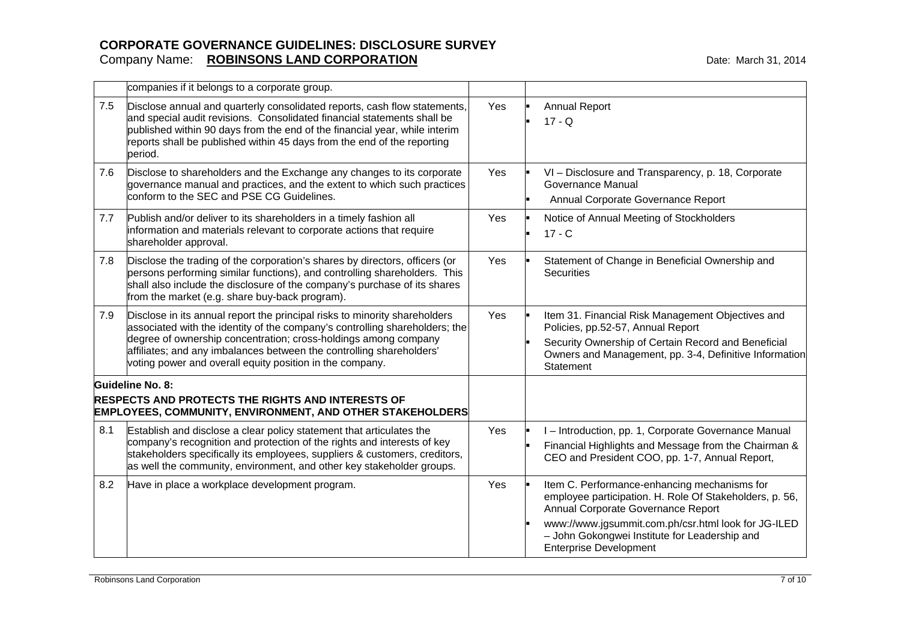|     | companies if it belongs to a corporate group.                                                                                                                                                                                                                                                                                                                    |     |                                                                                                                                                                                                                                                                                        |
|-----|------------------------------------------------------------------------------------------------------------------------------------------------------------------------------------------------------------------------------------------------------------------------------------------------------------------------------------------------------------------|-----|----------------------------------------------------------------------------------------------------------------------------------------------------------------------------------------------------------------------------------------------------------------------------------------|
| 7.5 | Disclose annual and quarterly consolidated reports, cash flow statements,<br>and special audit revisions. Consolidated financial statements shall be<br>published within 90 days from the end of the financial year, while interim<br>reports shall be published within 45 days from the end of the reporting<br>period.                                         | Yes | <b>Annual Report</b><br>$17 - Q$                                                                                                                                                                                                                                                       |
| 7.6 | Disclose to shareholders and the Exchange any changes to its corporate<br>governance manual and practices, and the extent to which such practices<br>conform to the SEC and PSE CG Guidelines.                                                                                                                                                                   | Yes | VI - Disclosure and Transparency, p. 18, Corporate<br><b>Governance Manual</b><br>Annual Corporate Governance Report                                                                                                                                                                   |
| 7.7 | Publish and/or deliver to its shareholders in a timely fashion all<br>information and materials relevant to corporate actions that require<br>shareholder approval.                                                                                                                                                                                              | Yes | Notice of Annual Meeting of Stockholders<br>$17 - C$                                                                                                                                                                                                                                   |
| 7.8 | Disclose the trading of the corporation's shares by directors, officers (or<br>persons performing similar functions), and controlling shareholders. This<br>shall also include the disclosure of the company's purchase of its shares<br>from the market (e.g. share buy-back program).                                                                          | Yes | Statement of Change in Beneficial Ownership and<br><b>Securities</b>                                                                                                                                                                                                                   |
| 7.9 | Disclose in its annual report the principal risks to minority shareholders<br>associated with the identity of the company's controlling shareholders; the<br>degree of ownership concentration; cross-holdings among company<br>affiliates; and any imbalances between the controlling shareholders'<br>voting power and overall equity position in the company. | Yes | Item 31. Financial Risk Management Objectives and<br>Policies, pp.52-57, Annual Report<br>Security Ownership of Certain Record and Beneficial<br>Owners and Management, pp. 3-4, Definitive Information<br>Statement                                                                   |
|     | Guideline No. 8:<br><b>RESPECTS AND PROTECTS THE RIGHTS AND INTERESTS OF</b><br><b>EMPLOYEES, COMMUNITY, ENVIRONMENT, AND OTHER STAKEHOLDERS</b>                                                                                                                                                                                                                 |     |                                                                                                                                                                                                                                                                                        |
| 8.1 | Establish and disclose a clear policy statement that articulates the<br>company's recognition and protection of the rights and interests of key<br>stakeholders specifically its employees, suppliers & customers, creditors,<br>as well the community, environment, and other key stakeholder groups.                                                           | Yes | I - Introduction, pp. 1, Corporate Governance Manual<br>Financial Highlights and Message from the Chairman &<br>CEO and President COO, pp. 1-7, Annual Report,                                                                                                                         |
| 8.2 | Have in place a workplace development program.                                                                                                                                                                                                                                                                                                                   | Yes | Item C. Performance-enhancing mechanisms for<br>employee participation. H. Role Of Stakeholders, p. 56,<br>Annual Corporate Governance Report<br>www://www.jgsummit.com.ph/csr.html look for JG-ILED<br>- John Gokongwei Institute for Leadership and<br><b>Enterprise Development</b> |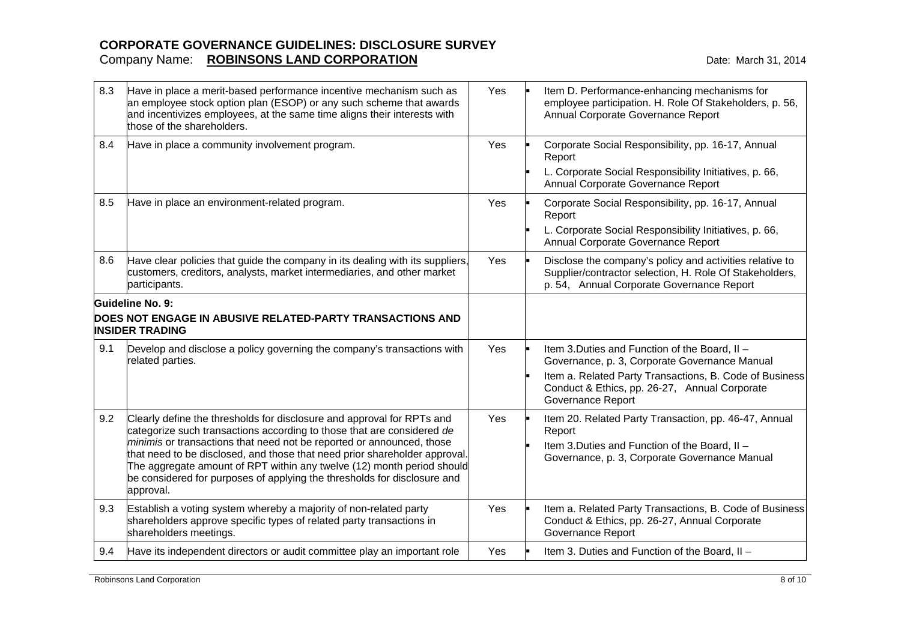| 8.3 | Have in place a merit-based performance incentive mechanism such as<br>an employee stock option plan (ESOP) or any such scheme that awards<br>and incentivizes employees, at the same time aligns their interests with<br>those of the shareholders. | Yes | Item D. Performance-enhancing mechanisms for<br>employee participation. H. Role Of Stakeholders, p. 56,<br>Annual Corporate Governance Report                    |
|-----|------------------------------------------------------------------------------------------------------------------------------------------------------------------------------------------------------------------------------------------------------|-----|------------------------------------------------------------------------------------------------------------------------------------------------------------------|
| 8.4 | Have in place a community involvement program.                                                                                                                                                                                                       | Yes | Corporate Social Responsibility, pp. 16-17, Annual<br>Report                                                                                                     |
|     |                                                                                                                                                                                                                                                      |     | L. Corporate Social Responsibility Initiatives, p. 66,<br>Annual Corporate Governance Report                                                                     |
| 8.5 | Have in place an environment-related program.                                                                                                                                                                                                        | Yes | Corporate Social Responsibility, pp. 16-17, Annual<br>Report                                                                                                     |
|     |                                                                                                                                                                                                                                                      |     | L. Corporate Social Responsibility Initiatives, p. 66,<br>Annual Corporate Governance Report                                                                     |
| 8.6 | Have clear policies that guide the company in its dealing with its suppliers,<br>customers, creditors, analysts, market intermediaries, and other market<br>participants.                                                                            | Yes | Disclose the company's policy and activities relative to<br>Supplier/contractor selection, H. Role Of Stakeholders,<br>p. 54, Annual Corporate Governance Report |
|     | Guideline No. 9:<br>DOES NOT ENGAGE IN ABUSIVE RELATED-PARTY TRANSACTIONS AND<br><b>INSIDER TRADING</b>                                                                                                                                              |     |                                                                                                                                                                  |
| 9.1 | Develop and disclose a policy governing the company's transactions with<br>related parties.                                                                                                                                                          | Yes | Item 3. Duties and Function of the Board, II -<br>Governance, p. 3, Corporate Governance Manual                                                                  |
|     |                                                                                                                                                                                                                                                      |     | Item a. Related Party Transactions, B. Code of Business<br>Conduct & Ethics, pp. 26-27, Annual Corporate<br><b>Governance Report</b>                             |
| 9.2 | Clearly define the thresholds for disclosure and approval for RPTs and<br>categorize such transactions according to those that are considered de                                                                                                     | Yes | Item 20. Related Party Transaction, pp. 46-47, Annual<br>Report                                                                                                  |
|     | minimis or transactions that need not be reported or announced, those<br>that need to be disclosed, and those that need prior shareholder approval.<br>The aggregate amount of RPT within any twelve (12) month period should                        |     | Item 3. Duties and Function of the Board, II -<br>Governance, p. 3, Corporate Governance Manual                                                                  |
|     | be considered for purposes of applying the thresholds for disclosure and<br>approval.                                                                                                                                                                |     |                                                                                                                                                                  |
| 9.3 | Establish a voting system whereby a majority of non-related party<br>shareholders approve specific types of related party transactions in<br>shareholders meetings.                                                                                  | Yes | Item a. Related Party Transactions, B. Code of Business<br>Conduct & Ethics, pp. 26-27, Annual Corporate<br><b>Governance Report</b>                             |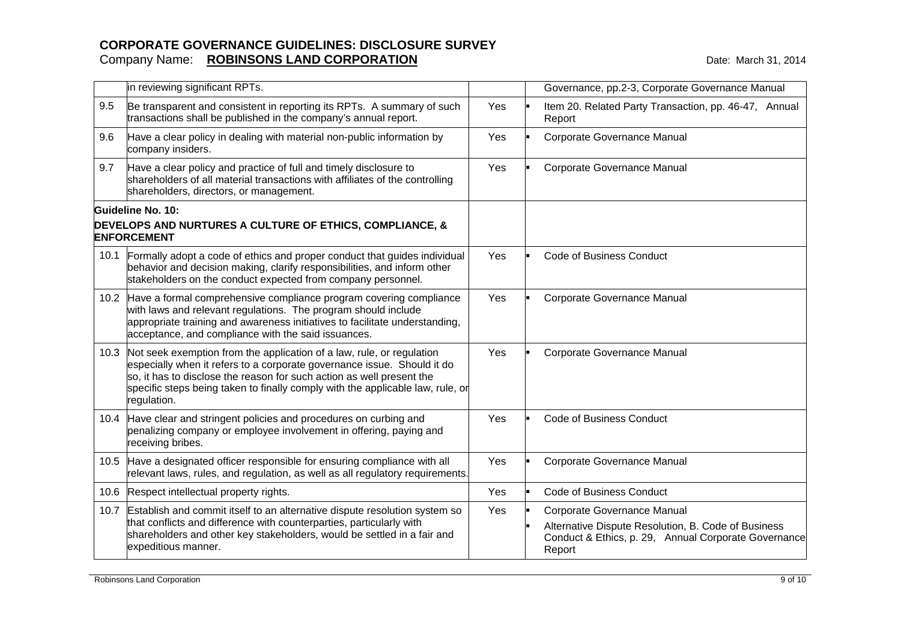|      | in reviewing significant RPTs.                                                                                                                                                                                                                                                                                             |     | Governance, pp.2-3, Corporate Governance Manual                                                                                                      |
|------|----------------------------------------------------------------------------------------------------------------------------------------------------------------------------------------------------------------------------------------------------------------------------------------------------------------------------|-----|------------------------------------------------------------------------------------------------------------------------------------------------------|
| 9.5  | Be transparent and consistent in reporting its RPTs. A summary of such<br>transactions shall be published in the company's annual report.                                                                                                                                                                                  | Yes | Item 20. Related Party Transaction, pp. 46-47, Annual<br>Report                                                                                      |
| 9.6  | Have a clear policy in dealing with material non-public information by<br>company insiders.                                                                                                                                                                                                                                | Yes | Corporate Governance Manual                                                                                                                          |
| 9.7  | Have a clear policy and practice of full and timely disclosure to<br>shareholders of all material transactions with affiliates of the controlling<br>shareholders, directors, or management.                                                                                                                               | Yes | Corporate Governance Manual                                                                                                                          |
|      | Guideline No. 10:<br>DEVELOPS AND NURTURES A CULTURE OF ETHICS, COMPLIANCE, &<br><b>ENFORCEMENT</b>                                                                                                                                                                                                                        |     |                                                                                                                                                      |
| 10.1 | Formally adopt a code of ethics and proper conduct that guides individual<br>behavior and decision making, clarify responsibilities, and inform other<br>stakeholders on the conduct expected from company personnel.                                                                                                      | Yes | <b>Code of Business Conduct</b>                                                                                                                      |
| 10.2 | Have a formal comprehensive compliance program covering compliance<br>with laws and relevant regulations. The program should include<br>appropriate training and awareness initiatives to facilitate understanding,<br>acceptance, and compliance with the said issuances.                                                 | Yes | Corporate Governance Manual                                                                                                                          |
| 10.3 | Not seek exemption from the application of a law, rule, or regulation<br>especially when it refers to a corporate governance issue. Should it do<br>so, it has to disclose the reason for such action as well present the<br>specific steps being taken to finally comply with the applicable law, rule, or<br>regulation. | Yes | Corporate Governance Manual                                                                                                                          |
|      | 10.4 Have clear and stringent policies and procedures on curbing and<br>penalizing company or employee involvement in offering, paying and<br>receiving bribes.                                                                                                                                                            | Yes | <b>Code of Business Conduct</b>                                                                                                                      |
| 10.5 | Have a designated officer responsible for ensuring compliance with all<br>relevant laws, rules, and regulation, as well as all regulatory requirements.                                                                                                                                                                    | Yes | Corporate Governance Manual                                                                                                                          |
| 10.6 | Respect intellectual property rights.                                                                                                                                                                                                                                                                                      | Yes | <b>Code of Business Conduct</b>                                                                                                                      |
| 10.7 | Establish and commit itself to an alternative dispute resolution system so<br>that conflicts and difference with counterparties, particularly with<br>shareholders and other key stakeholders, would be settled in a fair and<br>expeditious manner.                                                                       | Yes | Corporate Governance Manual<br>Alternative Dispute Resolution, B. Code of Business<br>Conduct & Ethics, p. 29, Annual Corporate Governance<br>Report |